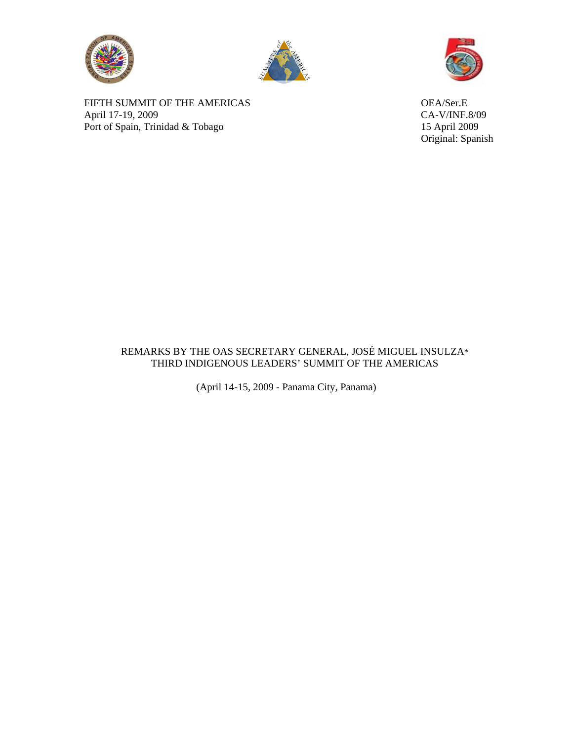





FIFTH SUMMIT OF THE AMERICAS OEA/Ser.E April 17-19, 2009 CA-V/INF.8/09 Port of Spain, Trinidad & Tobago 15 April 2009

Original: Spanish

## REMARKS BY THE OAS SECRETARY GENERAL, JOSÉ MIGUEL INSULZA\* THIRD INDIGENOUS LEADERS' SUMMIT OF THE AMERICAS

(April 14-15, 2009 - Panama City, Panama)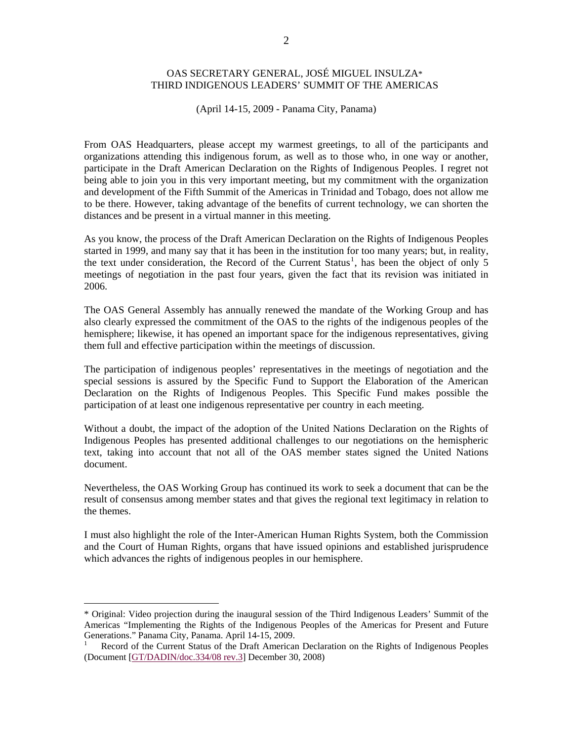## OAS SECRETARY GENERAL, JOSÉ MIGUEL INSULZA\* THIRD INDIGENOUS LEADERS' SUMMIT OF THE AMERICAS

(April 14-15, 2009 - Panama City, Panama)

From OAS Headquarters, please accept my warmest greetings, to all of the participants and organizations attending this indigenous forum, as well as to those who, in one way or another, participate in the Draft American Declaration on the Rights of Indigenous Peoples. I regret not being able to join you in this very important meeting, but my commitment with the organization and development of the Fifth Summit of the Americas in Trinidad and Tobago, does not allow me to be there. However, taking advantage of the benefits of current technology, we can shorten the distances and be present in a virtual manner in this meeting.

As you know, the process of the Draft American Declaration on the Rights of Indigenous Peoples started in 1999, and many say that it has been in the institution for too many years; but, in reality, the text under consideration, the Record of the Current Status<sup>[1](#page-1-0)</sup>, has been the object of only 5 meetings of negotiation in the past four years, given the fact that its revision was initiated in 2006.

The OAS General Assembly has annually renewed the mandate of the Working Group and has also clearly expressed the commitment of the OAS to the rights of the indigenous peoples of the hemisphere; likewise, it has opened an important space for the indigenous representatives, giving them full and effective participation within the meetings of discussion.

The participation of indigenous peoples' representatives in the meetings of negotiation and the special sessions is assured by the Specific Fund to Support the Elaboration of the American Declaration on the Rights of Indigenous Peoples. This Specific Fund makes possible the participation of at least one indigenous representative per country in each meeting.

Without a doubt, the impact of the adoption of the United Nations Declaration on the Rights of Indigenous Peoples has presented additional challenges to our negotiations on the hemispheric text, taking into account that not all of the OAS member states signed the United Nations document.

Nevertheless, the OAS Working Group has continued its work to seek a document that can be the result of consensus among member states and that gives the regional text legitimacy in relation to the themes.

I must also highlight the role of the Inter-American Human Rights System, both the Commission and the Court of Human Rights, organs that have issued opinions and established jurisprudence which advances the rights of indigenous peoples in our hemisphere.

 $\overline{a}$ 

<span id="page-1-0"></span><sup>\*</sup> Original: Video projection during the inaugural session of the Third Indigenous Leaders' Summit of the Americas "Implementing the Rights of the Indigenous Peoples of the Americas for Present and Future Generations." Panama City, Panama. April 14-15, 2009.

<sup>1</sup> Record of the Current Status of the Draft American Declaration on the Rights of Indigenous Peoples (Document [[GT/DADIN/doc.334/08 rev.3](http://www.oas.org/dil/esp/GT-DADIN_doc_334-08_rev3_esp.pdf)] December 30, 2008)